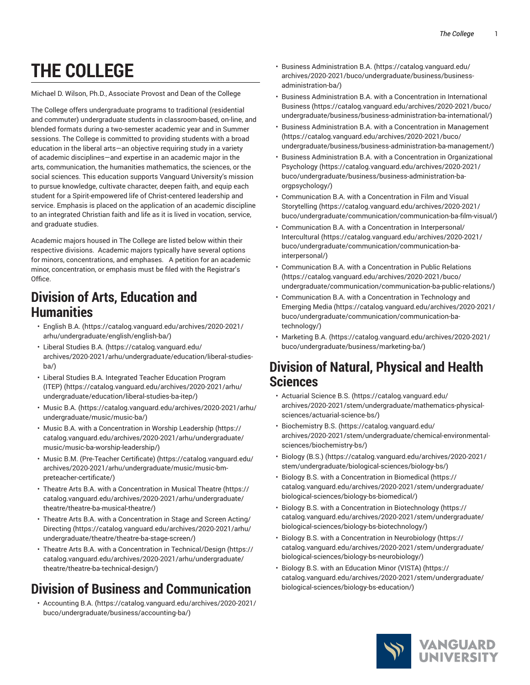# **THE COLLEGE**

Michael D. Wilson, Ph.D., Associate Provost and Dean of the College

The College offers undergraduate programs to traditional (residential and commuter) undergraduate students in classroom-based, on-line, and blended formats during a two-semester academic year and in Summer sessions. The College is committed to providing students with a broad education in the liberal arts—an objective requiring study in a variety of academic disciplines—and expertise in an academic major in the arts, communication, the humanities mathematics, the sciences, or the social sciences. This education supports Vanguard University's mission to pursue knowledge, cultivate character, deepen faith, and equip each student for a Spirit-empowered life of Christ-centered leadership and service. Emphasis is placed on the application of an academic discipline to an integrated Christian faith and life as it is lived in vocation, service, and graduate studies.

Academic majors housed in The College are listed below within their respective divisions. Academic majors typically have several options for minors, concentrations, and emphases. A petition for an academic minor, concentration, or emphasis must be filed with the Registrar's Office.

#### **Division of Arts, Education and Humanities**

- [English B.A.](https://catalog.vanguard.edu/archives/2020-2021/arhu/undergraduate/english/english-ba/) ([https://catalog.vanguard.edu/archives/2020-2021/](https://catalog.vanguard.edu/archives/2020-2021/arhu/undergraduate/english/english-ba/) [arhu/undergraduate/english/english-ba/](https://catalog.vanguard.edu/archives/2020-2021/arhu/undergraduate/english/english-ba/))
- [Liberal Studies B.A.](https://catalog.vanguard.edu/archives/2020-2021/arhu/undergraduate/education/liberal-studies-ba/) ([https://catalog.vanguard.edu/](https://catalog.vanguard.edu/archives/2020-2021/arhu/undergraduate/education/liberal-studies-ba/) [archives/2020-2021/arhu/undergraduate/education/liberal-studies](https://catalog.vanguard.edu/archives/2020-2021/arhu/undergraduate/education/liberal-studies-ba/)[ba/](https://catalog.vanguard.edu/archives/2020-2021/arhu/undergraduate/education/liberal-studies-ba/))
- Liberal Studies B.A. [Integrated](https://catalog.vanguard.edu/archives/2020-2021/arhu/undergraduate/education/liberal-studies-ba-itep/) Teacher Education Program [\(ITEP\)](https://catalog.vanguard.edu/archives/2020-2021/arhu/undergraduate/education/liberal-studies-ba-itep/) ([https://catalog.vanguard.edu/archives/2020-2021/arhu/](https://catalog.vanguard.edu/archives/2020-2021/arhu/undergraduate/education/liberal-studies-ba-itep/) [undergraduate/education/liberal-studies-ba-itep/\)](https://catalog.vanguard.edu/archives/2020-2021/arhu/undergraduate/education/liberal-studies-ba-itep/)
- [Music B.A. \(https://catalog.vanguard.edu/archives/2020-2021/arhu/](https://catalog.vanguard.edu/archives/2020-2021/arhu/undergraduate/music/music-ba/) [undergraduate/music/music-ba/\)](https://catalog.vanguard.edu/archives/2020-2021/arhu/undergraduate/music/music-ba/)
- Music B.A. with a [Concentration](https://catalog.vanguard.edu/archives/2020-2021/arhu/undergraduate/music/music-ba-worship-leadership/) in Worship Leadership [\(https://](https://catalog.vanguard.edu/archives/2020-2021/arhu/undergraduate/music/music-ba-worship-leadership/) [catalog.vanguard.edu/archives/2020-2021/arhu/undergraduate/](https://catalog.vanguard.edu/archives/2020-2021/arhu/undergraduate/music/music-ba-worship-leadership/) [music/music-ba-worship-leadership/](https://catalog.vanguard.edu/archives/2020-2021/arhu/undergraduate/music/music-ba-worship-leadership/))
- Music B.M. [\(Pre-Teacher](https://catalog.vanguard.edu/archives/2020-2021/arhu/undergraduate/music/music-bm-preteacher-certificate/) Certificate) [\(https://catalog.vanguard.edu/](https://catalog.vanguard.edu/archives/2020-2021/arhu/undergraduate/music/music-bm-preteacher-certificate/) [archives/2020-2021/arhu/undergraduate/music/music-bm](https://catalog.vanguard.edu/archives/2020-2021/arhu/undergraduate/music/music-bm-preteacher-certificate/)[preteacher-certificate/](https://catalog.vanguard.edu/archives/2020-2021/arhu/undergraduate/music/music-bm-preteacher-certificate/))
- Theatre Arts B.A. with a [Concentration](https://catalog.vanguard.edu/archives/2020-2021/arhu/undergraduate/theatre/theatre-ba-musical-theatre/) in Musical Theatre ([https://](https://catalog.vanguard.edu/archives/2020-2021/arhu/undergraduate/theatre/theatre-ba-musical-theatre/) [catalog.vanguard.edu/archives/2020-2021/arhu/undergraduate/](https://catalog.vanguard.edu/archives/2020-2021/arhu/undergraduate/theatre/theatre-ba-musical-theatre/) [theatre/theatre-ba-musical-theatre/](https://catalog.vanguard.edu/archives/2020-2021/arhu/undergraduate/theatre/theatre-ba-musical-theatre/))
- Theatre Arts B.A. with a [Concentration](https://catalog.vanguard.edu/archives/2020-2021/arhu/undergraduate/theatre/theatre-ba-stage-screen/) in Stage and Screen Acting/ [Directing](https://catalog.vanguard.edu/archives/2020-2021/arhu/undergraduate/theatre/theatre-ba-stage-screen/) ([https://catalog.vanguard.edu/archives/2020-2021/arhu/](https://catalog.vanguard.edu/archives/2020-2021/arhu/undergraduate/theatre/theatre-ba-stage-screen/) [undergraduate/theatre/theatre-ba-stage-screen/](https://catalog.vanguard.edu/archives/2020-2021/arhu/undergraduate/theatre/theatre-ba-stage-screen/))
- Theatre Arts B.A. with a Concentration in [Technical/Design \(https://](https://catalog.vanguard.edu/archives/2020-2021/arhu/undergraduate/theatre/theatre-ba-technical-design/) [catalog.vanguard.edu/archives/2020-2021/arhu/undergraduate/](https://catalog.vanguard.edu/archives/2020-2021/arhu/undergraduate/theatre/theatre-ba-technical-design/) [theatre/theatre-ba-technical-design/](https://catalog.vanguard.edu/archives/2020-2021/arhu/undergraduate/theatre/theatre-ba-technical-design/))

## **Division of Business and Communication**

• [Accounting B.A. \(https://catalog.vanguard.edu/archives/2020-2021/](https://catalog.vanguard.edu/archives/2020-2021/buco/undergraduate/business/accounting-ba/) [buco/undergraduate/business/accounting-ba/\)](https://catalog.vanguard.edu/archives/2020-2021/buco/undergraduate/business/accounting-ba/)

- [Business Administration B.A.](https://catalog.vanguard.edu/archives/2020-2021/buco/undergraduate/business/business-administration-ba/) ([https://catalog.vanguard.edu/](https://catalog.vanguard.edu/archives/2020-2021/buco/undergraduate/business/business-administration-ba/) [archives/2020-2021/buco/undergraduate/business/business](https://catalog.vanguard.edu/archives/2020-2021/buco/undergraduate/business/business-administration-ba/)[administration-ba/](https://catalog.vanguard.edu/archives/2020-2021/buco/undergraduate/business/business-administration-ba/))
- [Business Administration B.A. with a Concentration in International](https://catalog.vanguard.edu/archives/2020-2021/buco/undergraduate/business/business-administration-ba-international/) [Business](https://catalog.vanguard.edu/archives/2020-2021/buco/undergraduate/business/business-administration-ba-international/) ([https://catalog.vanguard.edu/archives/2020-2021/buco/](https://catalog.vanguard.edu/archives/2020-2021/buco/undergraduate/business/business-administration-ba-international/) [undergraduate/business/business-administration-ba-international/](https://catalog.vanguard.edu/archives/2020-2021/buco/undergraduate/business/business-administration-ba-international/))
- [Business Administration B.A. with a Concentration in Management](https://catalog.vanguard.edu/archives/2020-2021/buco/undergraduate/business/business-administration-ba-management/) [\(https://catalog.vanguard.edu/archives/2020-2021/buco/](https://catalog.vanguard.edu/archives/2020-2021/buco/undergraduate/business/business-administration-ba-management/) [undergraduate/business/business-administration-ba-management/](https://catalog.vanguard.edu/archives/2020-2021/buco/undergraduate/business/business-administration-ba-management/))
- Business [Administration](https://catalog.vanguard.edu/archives/2020-2021/buco/undergraduate/business/business-administration-ba-orgpsychology/) B.A. with a Concentration in Organizational [Psychology](https://catalog.vanguard.edu/archives/2020-2021/buco/undergraduate/business/business-administration-ba-orgpsychology/) ([https://catalog.vanguard.edu/archives/2020-2021/](https://catalog.vanguard.edu/archives/2020-2021/buco/undergraduate/business/business-administration-ba-orgpsychology/) [buco/undergraduate/business/business-administration-ba](https://catalog.vanguard.edu/archives/2020-2021/buco/undergraduate/business/business-administration-ba-orgpsychology/)[orgpsychology/\)](https://catalog.vanguard.edu/archives/2020-2021/buco/undergraduate/business/business-administration-ba-orgpsychology/)
- [Communication B.A. with a Concentration in Film and Visual](https://catalog.vanguard.edu/archives/2020-2021/buco/undergraduate/communication/communication-ba-film-visual/) [Storytelling \(https://catalog.vanguard.edu/archives/2020-2021/](https://catalog.vanguard.edu/archives/2020-2021/buco/undergraduate/communication/communication-ba-film-visual/) [buco/undergraduate/communication/communication-ba-film-visual/\)](https://catalog.vanguard.edu/archives/2020-2021/buco/undergraduate/communication/communication-ba-film-visual/)
- [Communication B.A. with a Concentration in Interpersonal/](https://catalog.vanguard.edu/archives/2020-2021/buco/undergraduate/communication/communication-ba-interpersonal/) [Intercultural](https://catalog.vanguard.edu/archives/2020-2021/buco/undergraduate/communication/communication-ba-interpersonal/) ([https://catalog.vanguard.edu/archives/2020-2021/](https://catalog.vanguard.edu/archives/2020-2021/buco/undergraduate/communication/communication-ba-interpersonal/) [buco/undergraduate/communication/communication-ba](https://catalog.vanguard.edu/archives/2020-2021/buco/undergraduate/communication/communication-ba-interpersonal/)[interpersonal/](https://catalog.vanguard.edu/archives/2020-2021/buco/undergraduate/communication/communication-ba-interpersonal/))
- [Communication B.A. with a Concentration in Public Relations](https://catalog.vanguard.edu/archives/2020-2021/buco/undergraduate/communication/communication-ba-public-relations/) [\(https://catalog.vanguard.edu/archives/2020-2021/buco/](https://catalog.vanguard.edu/archives/2020-2021/buco/undergraduate/communication/communication-ba-public-relations/) [undergraduate/communication/communication-ba-public-relations/](https://catalog.vanguard.edu/archives/2020-2021/buco/undergraduate/communication/communication-ba-public-relations/))
- [Communication](https://catalog.vanguard.edu/archives/2020-2021/buco/undergraduate/communication/communication-ba-technology/) B.A. with a Concentration in Technology and [Emerging](https://catalog.vanguard.edu/archives/2020-2021/buco/undergraduate/communication/communication-ba-technology/) Media [\(https://catalog.vanguard.edu/archives/2020-2021/](https://catalog.vanguard.edu/archives/2020-2021/buco/undergraduate/communication/communication-ba-technology/) [buco/undergraduate/communication/communication-ba](https://catalog.vanguard.edu/archives/2020-2021/buco/undergraduate/communication/communication-ba-technology/)[technology/\)](https://catalog.vanguard.edu/archives/2020-2021/buco/undergraduate/communication/communication-ba-technology/)
- [Marketing](https://catalog.vanguard.edu/archives/2020-2021/buco/undergraduate/business/marketing-ba/) B.A. ([https://catalog.vanguard.edu/archives/2020-2021/](https://catalog.vanguard.edu/archives/2020-2021/buco/undergraduate/business/marketing-ba/) [buco/undergraduate/business/marketing-ba/\)](https://catalog.vanguard.edu/archives/2020-2021/buco/undergraduate/business/marketing-ba/)

#### **Division of Natural, Physical and Health Sciences**

- [Actuarial Science B.S.](https://catalog.vanguard.edu/archives/2020-2021/stem/undergraduate/mathematics-physical-sciences/actuarial-science-bs/) [\(https://catalog.vanguard.edu/](https://catalog.vanguard.edu/archives/2020-2021/stem/undergraduate/mathematics-physical-sciences/actuarial-science-bs/) [archives/2020-2021/stem/undergraduate/mathematics-physical](https://catalog.vanguard.edu/archives/2020-2021/stem/undergraduate/mathematics-physical-sciences/actuarial-science-bs/)[sciences/actuarial-science-bs/](https://catalog.vanguard.edu/archives/2020-2021/stem/undergraduate/mathematics-physical-sciences/actuarial-science-bs/))
- [Biochemistry](https://catalog.vanguard.edu/archives/2020-2021/stem/undergraduate/chemical-environmental-sciences/biochemistry-bs/) B.S. ([https://catalog.vanguard.edu/](https://catalog.vanguard.edu/archives/2020-2021/stem/undergraduate/chemical-environmental-sciences/biochemistry-bs/) [archives/2020-2021/stem/undergraduate/chemical-environmental](https://catalog.vanguard.edu/archives/2020-2021/stem/undergraduate/chemical-environmental-sciences/biochemistry-bs/)[sciences/biochemistry-bs/\)](https://catalog.vanguard.edu/archives/2020-2021/stem/undergraduate/chemical-environmental-sciences/biochemistry-bs/)
- [Biology \(B.S.\) \(https://catalog.vanguard.edu/archives/2020-2021/](https://catalog.vanguard.edu/archives/2020-2021/stem/undergraduate/biological-sciences/biology-bs/) [stem/undergraduate/biological-sciences/biology-bs/](https://catalog.vanguard.edu/archives/2020-2021/stem/undergraduate/biological-sciences/biology-bs/))
- [Biology B.S. with a Concentration in Biomedical \(https://](https://catalog.vanguard.edu/archives/2020-2021/stem/undergraduate/biological-sciences/biology-bs-biomedical/) [catalog.vanguard.edu/archives/2020-2021/stem/undergraduate/](https://catalog.vanguard.edu/archives/2020-2021/stem/undergraduate/biological-sciences/biology-bs-biomedical/) [biological-sciences/biology-bs-biomedical/\)](https://catalog.vanguard.edu/archives/2020-2021/stem/undergraduate/biological-sciences/biology-bs-biomedical/)
- [Biology B.S. with a Concentration in Biotechnology](https://catalog.vanguard.edu/archives/2020-2021/stem/undergraduate/biological-sciences/biology-bs-biotechnology/) ([https://](https://catalog.vanguard.edu/archives/2020-2021/stem/undergraduate/biological-sciences/biology-bs-biotechnology/) [catalog.vanguard.edu/archives/2020-2021/stem/undergraduate/](https://catalog.vanguard.edu/archives/2020-2021/stem/undergraduate/biological-sciences/biology-bs-biotechnology/) [biological-sciences/biology-bs-biotechnology/](https://catalog.vanguard.edu/archives/2020-2021/stem/undergraduate/biological-sciences/biology-bs-biotechnology/))
- Biology B.S. with a [Concentration](https://catalog.vanguard.edu/archives/2020-2021/stem/undergraduate/biological-sciences/biology-bs-neurobiology/) in Neurobiology [\(https://](https://catalog.vanguard.edu/archives/2020-2021/stem/undergraduate/biological-sciences/biology-bs-neurobiology/) [catalog.vanguard.edu/archives/2020-2021/stem/undergraduate/](https://catalog.vanguard.edu/archives/2020-2021/stem/undergraduate/biological-sciences/biology-bs-neurobiology/) [biological-sciences/biology-bs-neurobiology/\)](https://catalog.vanguard.edu/archives/2020-2021/stem/undergraduate/biological-sciences/biology-bs-neurobiology/)
- Biology B.S. with an [Education](https://catalog.vanguard.edu/archives/2020-2021/stem/undergraduate/biological-sciences/biology-bs-education/) Minor (VISTA) ([https://](https://catalog.vanguard.edu/archives/2020-2021/stem/undergraduate/biological-sciences/biology-bs-education/) [catalog.vanguard.edu/archives/2020-2021/stem/undergraduate/](https://catalog.vanguard.edu/archives/2020-2021/stem/undergraduate/biological-sciences/biology-bs-education/) [biological-sciences/biology-bs-education/\)](https://catalog.vanguard.edu/archives/2020-2021/stem/undergraduate/biological-sciences/biology-bs-education/)